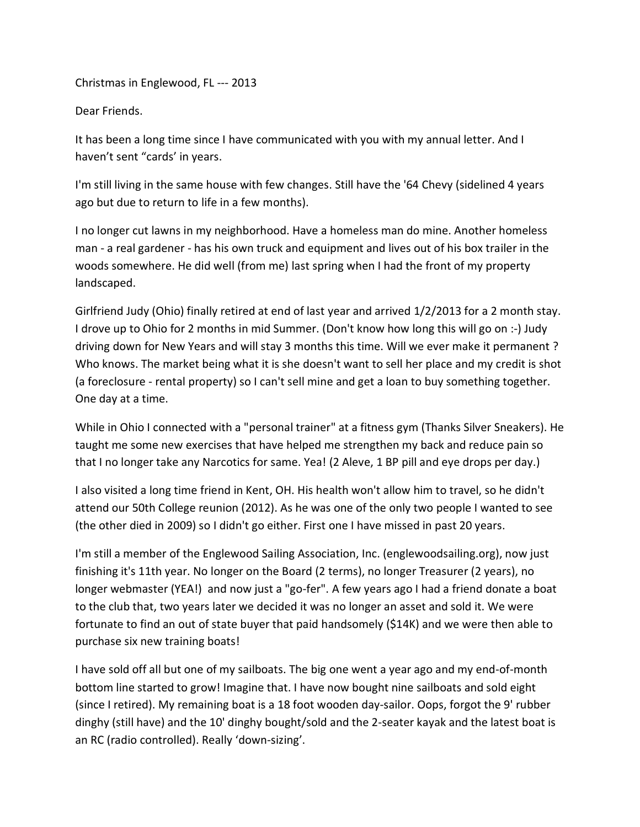Christmas in Englewood, FL --- 2013

Dear Friends.

It has been a long time since I have communicated with you with my annual letter. And I haven't sent "cards' in years.

I'm still living in the same house with few changes. Still have the '64 Chevy (sidelined 4 years ago but due to return to life in a few months).

I no longer cut lawns in my neighborhood. Have a homeless man do mine. Another homeless man - a real gardener - has his own truck and equipment and lives out of his box trailer in the woods somewhere. He did well (from me) last spring when I had the front of my property landscaped.

Girlfriend Judy (Ohio) finally retired at end of last year and arrived 1/2/2013 for a 2 month stay. I drove up to Ohio for 2 months in mid Summer. (Don't know how long this will go on :-) Judy driving down for New Years and will stay 3 months this time. Will we ever make it permanent ? Who knows. The market being what it is she doesn't want to sell her place and my credit is shot (a foreclosure - rental property) so I can't sell mine and get a loan to buy something together. One day at a time.

While in Ohio I connected with a "personal trainer" at a fitness gym (Thanks Silver Sneakers). He taught me some new exercises that have helped me strengthen my back and reduce pain so that I no longer take any Narcotics for same. Yea! (2 Aleve, 1 BP pill and eye drops per day.)

I also visited a long time friend in Kent, OH. His health won't allow him to travel, so he didn't attend our 50th College reunion (2012). As he was one of the only two people I wanted to see (the other died in 2009) so I didn't go either. First one I have missed in past 20 years.

I'm still a member of the Englewood Sailing Association, Inc. (englewoodsailing.org), now just finishing it's 11th year. No longer on the Board (2 terms), no longer Treasurer (2 years), no longer webmaster (YEA!) and now just a "go-fer". A few years ago I had a friend donate a boat to the club that, two years later we decided it was no longer an asset and sold it. We were fortunate to find an out of state buyer that paid handsomely (\$14K) and we were then able to purchase six new training boats!

I have sold off all but one of my sailboats. The big one went a year ago and my end-of-month bottom line started to grow! Imagine that. I have now bought nine sailboats and sold eight (since I retired). My remaining boat is a 18 foot wooden day-sailor. Oops, forgot the 9' rubber dinghy (still have) and the 10' dinghy bought/sold and the 2-seater kayak and the latest boat is an RC (radio controlled). Really 'down-sizing'.